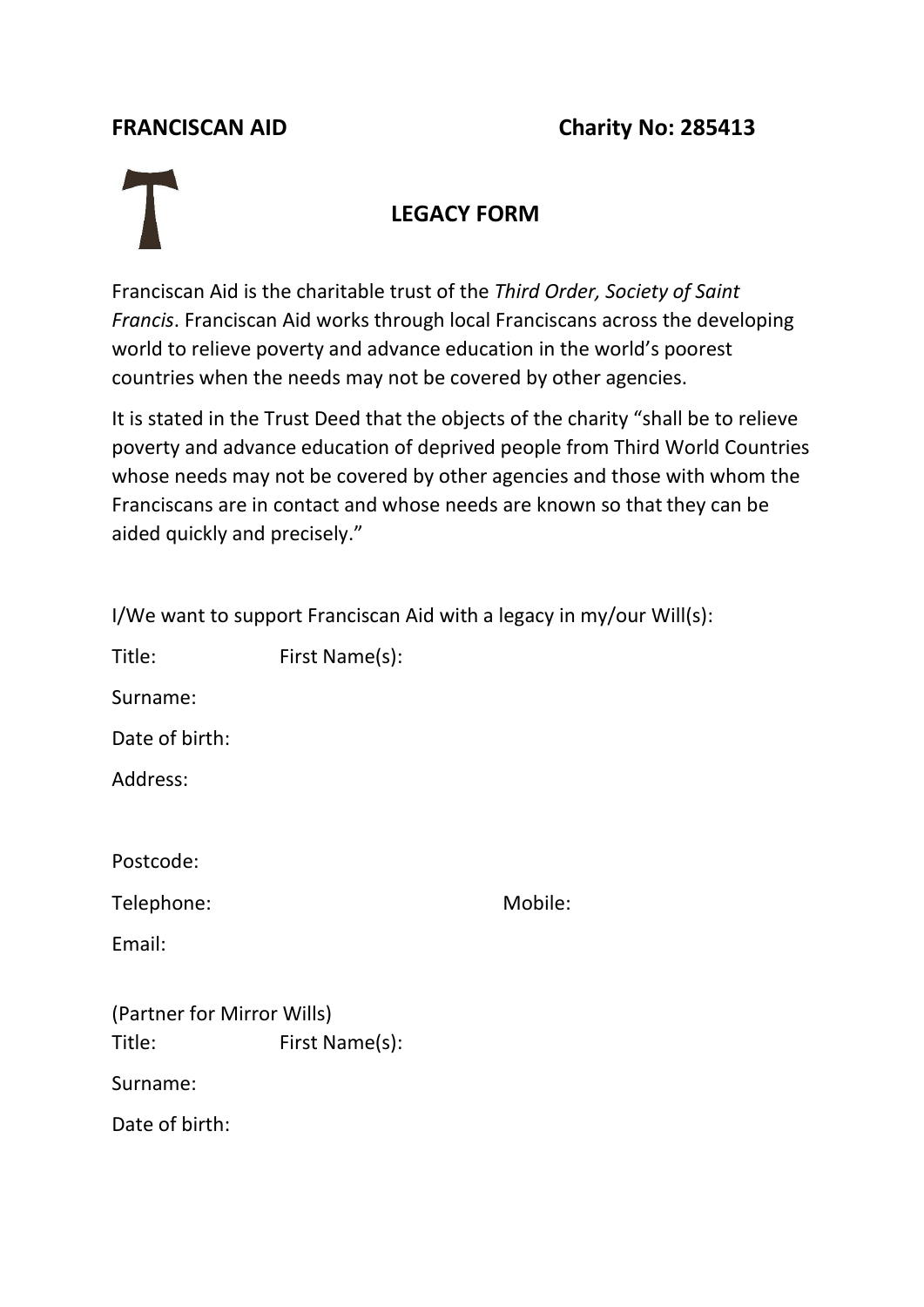## **FRANCISCAN AID Charity No: 285413**

## **LEGACY FORM**

Franciscan Aid is the charitable trust of the *Third Order, Society of Saint Francis*. Franciscan Aid works through local Franciscans across the developing world to relieve poverty and advance education in the world's poorest countries when the needs may not be covered by other agencies.

It is stated in the Trust Deed that the objects of the charity "shall be to relieve poverty and advance education of deprived people from Third World Countries whose needs may not be covered by other agencies and those with whom the Franciscans are in contact and whose needs are known so that they can be aided quickly and precisely."

| I/We want to support Franciscan Aid with a legacy in my/our Will(s): |                |         |
|----------------------------------------------------------------------|----------------|---------|
| Title:                                                               | First Name(s): |         |
| Surname:                                                             |                |         |
| Date of birth:                                                       |                |         |
| Address:                                                             |                |         |
|                                                                      |                |         |
| Postcode:                                                            |                |         |
| Telephone:                                                           |                | Mobile: |
| Email:                                                               |                |         |
|                                                                      |                |         |
| (Partner for Mirror Wills)                                           |                |         |
| Title:                                                               | First Name(s): |         |
| Surname:                                                             |                |         |
| Date of birth:                                                       |                |         |
|                                                                      |                |         |